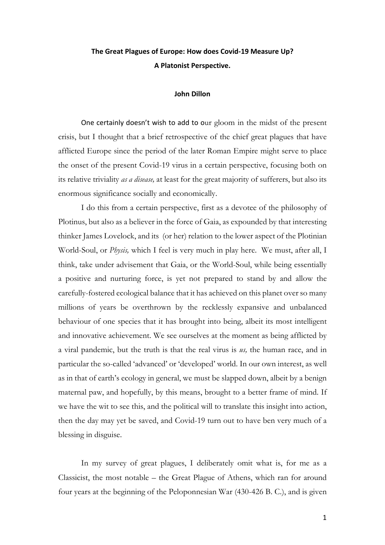## **The Great Plagues of Europe: How does Covid-19 Measure Up? A Platonist Perspective.**

## **John Dillon**

One certainly doesn't wish to add to our gloom in the midst of the present crisis, but I thought that a brief retrospective of the chief great plagues that have afflicted Europe since the period of the later Roman Empire might serve to place the onset of the present Covid-19 virus in a certain perspective, focusing both on its relative triviality *as a disease,* at least for the great majority of sufferers, but also its enormous significance socially and economically.

I do this from a certain perspective, first as a devotee of the philosophy of Plotinus, but also as a believer in the force of Gaia, as expounded by that interesting thinker James Lovelock, and its (or her) relation to the lower aspect of the Plotinian World-Soul, or *Physis,* which I feel is very much in play here. We must, after all, I think, take under advisement that Gaia, or the World-Soul, while being essentially a positive and nurturing force, is yet not prepared to stand by and allow the carefully-fostered ecological balance that it has achieved on this planet over so many millions of years be overthrown by the recklessly expansive and unbalanced behaviour of one species that it has brought into being, albeit its most intelligent and innovative achievement. We see ourselves at the moment as being afflicted by a viral pandemic, but the truth is that the real virus is *us,* the human race, and in particular the so-called 'advanced' or 'developed' world. In our own interest, as well as in that of earth's ecology in general, we must be slapped down, albeit by a benign maternal paw, and hopefully, by this means, brought to a better frame of mind. If we have the wit to see this, and the political will to translate this insight into action, then the day may yet be saved, and Covid-19 turn out to have ben very much of a blessing in disguise.

In my survey of great plagues, I deliberately omit what is, for me as a Classicist, the most notable – the Great Plague of Athens, which ran for around four years at the beginning of the Peloponnesian War (430-426 B. C.), and is given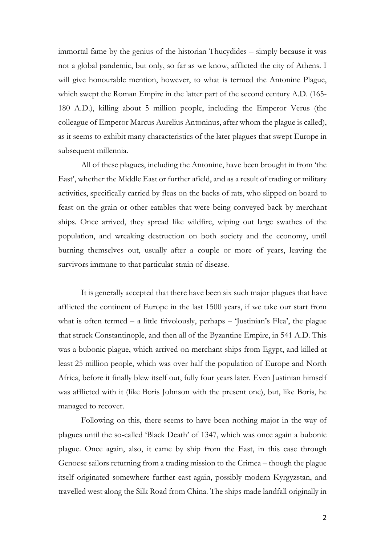immortal fame by the genius of the historian Thucydides – simply because it was not a global pandemic, but only, so far as we know, afflicted the city of Athens. I will give honourable mention, however, to what is termed the Antonine Plague, which swept the Roman Empire in the latter part of the second century A.D. (165- 180 A.D.), killing about 5 million people, including the Emperor Verus (the colleague of Emperor Marcus Aurelius Antoninus, after whom the plague is called), as it seems to exhibit many characteristics of the later plagues that swept Europe in subsequent millennia.

All of these plagues, including the Antonine, have been brought in from 'the East', whether the Middle East or further afield, and as a result of trading or military activities, specifically carried by fleas on the backs of rats, who slipped on board to feast on the grain or other eatables that were being conveyed back by merchant ships. Once arrived, they spread like wildfire, wiping out large swathes of the population, and wreaking destruction on both society and the economy, until burning themselves out, usually after a couple or more of years, leaving the survivors immune to that particular strain of disease.

It is generally accepted that there have been six such major plagues that have afflicted the continent of Europe in the last 1500 years, if we take our start from what is often termed – a little frivolously, perhaps – 'Justinian's Flea', the plague that struck Constantinople, and then all of the Byzantine Empire, in 541 A.D. This was a bubonic plague, which arrived on merchant ships from Egypt, and killed at least 25 million people, which was over half the population of Europe and North Africa, before it finally blew itself out, fully four years later. Even Justinian himself was afflicted with it (like Boris Johnson with the present one), but, like Boris, he managed to recover.

Following on this, there seems to have been nothing major in the way of plagues until the so-called 'Black Death' of 1347, which was once again a bubonic plague. Once again, also, it came by ship from the East, in this case through Genoese sailors returning from a trading mission to the Crimea – though the plague itself originated somewhere further east again, possibly modern Kyrgyzstan, and travelled west along the Silk Road from China. The ships made landfall originally in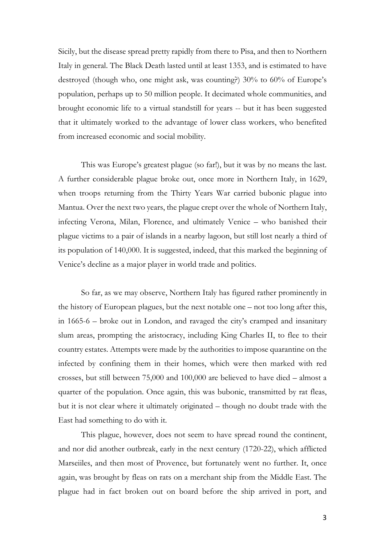Sicily, but the disease spread pretty rapidly from there to Pisa, and then to Northern Italy in general. The Black Death lasted until at least 1353, and is estimated to have destroyed (though who, one might ask, was counting?) 30% to 60% of Europe's population, perhaps up to 50 million people. It decimated whole communities, and brought economic life to a virtual standstill for years -- but it has been suggested that it ultimately worked to the advantage of lower class workers, who benefited from increased economic and social mobility.

This was Europe's greatest plague (so far!), but it was by no means the last. A further considerable plague broke out, once more in Northern Italy, in 1629, when troops returning from the Thirty Years War carried bubonic plague into Mantua. Over the next two years, the plague crept over the whole of Northern Italy, infecting Verona, Milan, Florence, and ultimately Venice – who banished their plague victims to a pair of islands in a nearby lagoon, but still lost nearly a third of its population of 140,000. It is suggested, indeed, that this marked the beginning of Venice's decline as a major player in world trade and politics.

So far, as we may observe, Northern Italy has figured rather prominently in the history of European plagues, but the next notable one – not too long after this, in 1665-6 – broke out in London, and ravaged the city's cramped and insanitary slum areas, prompting the aristocracy, including King Charles II, to flee to their country estates. Attempts were made by the authorities to impose quarantine on the infected by confining them in their homes, which were then marked with red crosses, but still between 75,000 and 100,000 are believed to have died – almost a quarter of the population. Once again, this was bubonic, transmitted by rat fleas, but it is not clear where it ultimately originated – though no doubt trade with the East had something to do with it.

This plague, however, does not seem to have spread round the continent, and nor did another outbreak, early in the next century (1720-22), which afflicted Marseiiles, and then most of Provence, but fortunately went no further. It, once again, was brought by fleas on rats on a merchant ship from the Middle East. The plague had in fact broken out on board before the ship arrived in port, and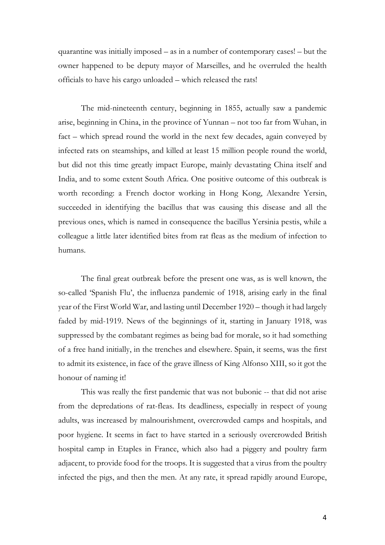quarantine was initially imposed – as in a number of contemporary cases! – but the owner happened to be deputy mayor of Marseilles, and he overruled the health officials to have his cargo unloaded – which released the rats!

The mid-nineteenth century, beginning in 1855, actually saw a pandemic arise, beginning in China, in the province of Yunnan – not too far from Wuhan, in fact – which spread round the world in the next few decades, again conveyed by infected rats on steamships, and killed at least 15 million people round the world, but did not this time greatly impact Europe, mainly devastating China itself and India, and to some extent South Africa. One positive outcome of this outbreak is worth recording: a French doctor working in Hong Kong, Alexandre Yersin, succeeded in identifying the bacillus that was causing this disease and all the previous ones, which is named in consequence the bacillus Yersinia pestis, while a colleague a little later identified bites from rat fleas as the medium of infection to humans.

The final great outbreak before the present one was, as is well known, the so-called 'Spanish Flu', the influenza pandemic of 1918, arising early in the final year of the First World War, and lasting until December 1920 – though it had largely faded by mid-1919. News of the beginnings of it, starting in January 1918, was suppressed by the combatant regimes as being bad for morale, so it had something of a free hand initially, in the trenches and elsewhere. Spain, it seems, was the first to admit its existence, in face of the grave illness of King Alfonso XIII, so it got the honour of naming it!

This was really the first pandemic that was not bubonic -- that did not arise from the depredations of rat-fleas. Its deadliness, especially in respect of young adults, was increased by malnourishment, overcrowded camps and hospitals, and poor hygiene. It seems in fact to have started in a seriously overcrowded British hospital camp in Etaples in France, which also had a piggery and poultry farm adjacent, to provide food for the troops. It is suggested that a virus from the poultry infected the pigs, and then the men. At any rate, it spread rapidly around Europe,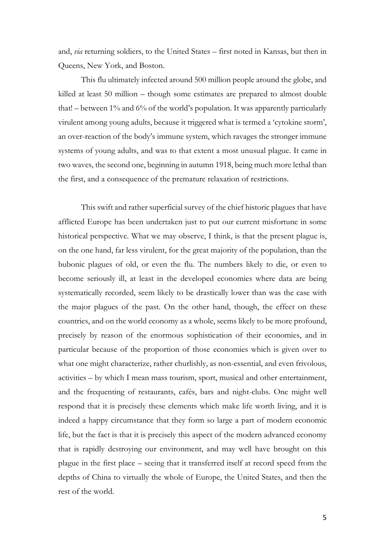and, *via* returning soldiers, to the United States – first noted in Kansas, but then in Queens, New York, and Boston.

This flu ultimately infected around 500 million people around the globe, and killed at least 50 million – though some estimates are prepared to almost double that! – between 1% and 6% of the world's population. It was apparently particularly virulent among young adults, because it triggered what is termed a 'cytokine storm', an over-reaction of the body's immune system, which ravages the stronger immune systems of young adults, and was to that extent a most unusual plague. It came in two waves, the second one, beginning in autumn 1918, being much more lethal than the first, and a consequence of the premature relaxation of restrictions.

This swift and rather superficial survey of the chief historic plagues that have afflicted Europe has been undertaken just to put our current misfortune in some historical perspective. What we may observe, I think, is that the present plague is, on the one hand, far less virulent, for the great majority of the population, than the bubonic plagues of old, or even the flu. The numbers likely to die, or even to become seriously ill, at least in the developed economies where data are being systematically recorded, seem likely to be drastically lower than was the case with the major plagues of the past. On the other hand, though, the effect on these countries, and on the world economy as a whole, seems likely to be more profound, precisely by reason of the enormous sophistication of their economies, and in particular because of the proportion of those economies which is given over to what one might characterize, rather churlishly, as non-essential, and even frivolous, activities – by which I mean mass tourism, sport, musical and other entertainment, and the frequenting of restaurants, cafés, bars and night-clubs. One might well respond that it is precisely these elements which make life worth living, and it is indeed a happy circumstance that they form so large a part of modern economic life, but the fact is that it is precisely this aspect of the modern advanced economy that is rapidly destroying our environment, and may well have brought on this plague in the first place – seeing that it transferred itself at record speed from the depths of China to virtually the whole of Europe, the United States, and then the rest of the world.